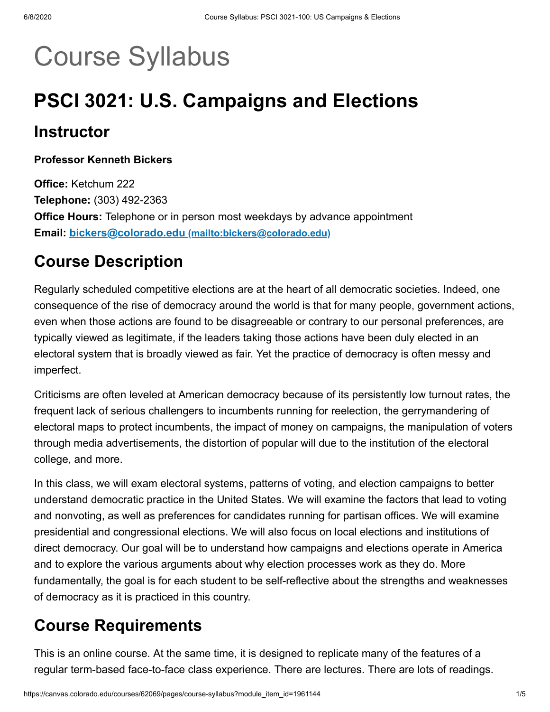# Course Syllabus

# **PSCI 3021: U.S. Campaigns and Elections**

### **Instructor**

#### **Professor Kenneth Bickers**

**Office:** Ketchum 222 **Telephone:** (303) 492-2363 **Office Hours:** Telephone or in person most weekdays by advance appointment **Email: bickers@colorado.edu [\(mailto:bickers@colorado.edu\)](mailto:bickers@colorado.edu)**

### **Course Description**

Regularly scheduled competitive elections are at the heart of all democratic societies. Indeed, one consequence of the rise of democracy around the world is that for many people, government actions, even when those actions are found to be disagreeable or contrary to our personal preferences, are typically viewed as legitimate, if the leaders taking those actions have been duly elected in an electoral system that is broadly viewed as fair. Yet the practice of democracy is often messy and imperfect.

Criticisms are often leveled at American democracy because of its persistently low turnout rates, the frequent lack of serious challengers to incumbents running for reelection, the gerrymandering of electoral maps to protect incumbents, the impact of money on campaigns, the manipulation of voters through media advertisements, the distortion of popular will due to the institution of the electoral college, and more.

In this class, we will exam electoral systems, patterns of voting, and election campaigns to better understand democratic practice in the United States. We will examine the factors that lead to voting and nonvoting, as well as preferences for candidates running for partisan offices. We will examine presidential and congressional elections. We will also focus on local elections and institutions of direct democracy. Our goal will be to understand how campaigns and elections operate in America and to explore the various arguments about why election processes work as they do. More fundamentally, the goal is for each student to be self-reflective about the strengths and weaknesses of democracy as it is practiced in this country.

### **Course Requirements**

This is an online course. At the same time, it is designed to replicate many of the features of a regular term-based face-to-face class experience. There are lectures. There are lots of readings.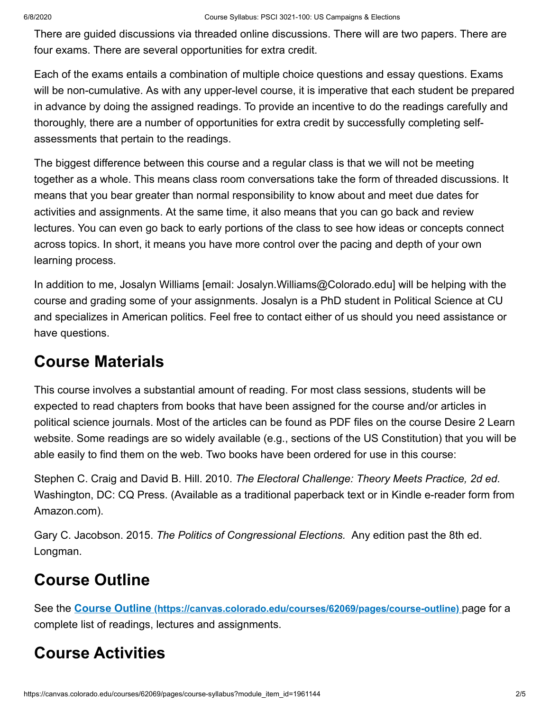There are guided discussions via threaded online discussions. There will are two papers. There are four exams. There are several opportunities for extra credit.

Each of the exams entails a combination of multiple choice questions and essay questions. Exams will be non-cumulative. As with any upper-level course, it is imperative that each student be prepared in advance by doing the assigned readings. To provide an incentive to do the readings carefully and thoroughly, there are a number of opportunities for extra credit by successfully completing selfassessments that pertain to the readings.

The biggest difference between this course and a regular class is that we will not be meeting together as a whole. This means class room conversations take the form of threaded discussions. It means that you bear greater than normal responsibility to know about and meet due dates for activities and assignments. At the same time, it also means that you can go back and review lectures. You can even go back to early portions of the class to see how ideas or concepts connect across topics. In short, it means you have more control over the pacing and depth of your own learning process.

In addition to me, Josalyn Williams [email: Josalyn.Williams@Colorado.edu] will be helping with the course and grading some of your assignments. Josalyn is a PhD student in Political Science at CU and specializes in American politics. Feel free to contact either of us should you need assistance or have questions.

### **Course Materials**

This course involves a substantial amount of reading. For most class sessions, students will be expected to read chapters from books that have been assigned for the course and/or articles in political science journals. Most of the articles can be found as PDF files on the course Desire 2 Learn website. Some readings are so widely available (e.g., sections of the US Constitution) that you will be able easily to find them on the web. Two books have been ordered for use in this course:

Stephen C. Craig and David B. Hill. 2010. *The Electoral Challenge: Theory Meets Practice, 2d ed*. Washington, DC: CQ Press. (Available as a traditional paperback text or in Kindle e-reader form from Amazon.com).

Gary C. Jacobson. 2015. *The Politics of Congressional Elections.* Any edition past the 8th ed. Longman.

## **Course Outline**

See the **Course Outline [\(https://canvas.colorado.edu/courses/62069/pages/course-outline\)](https://canvas.colorado.edu/courses/62069/pages/course-outline)** page for a complete list of readings, lectures and assignments.

## **Course Activities**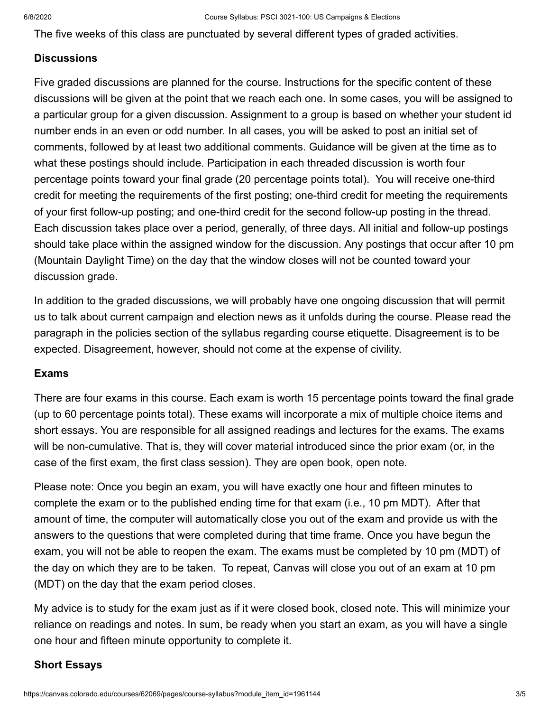The five weeks of this class are punctuated by several different types of graded activities.

#### **Discussions**

Five graded discussions are planned for the course. Instructions for the specific content of these discussions will be given at the point that we reach each one. In some cases, you will be assigned to a particular group for a given discussion. Assignment to a group is based on whether your student id number ends in an even or odd number. In all cases, you will be asked to post an initial set of comments, followed by at least two additional comments. Guidance will be given at the time as to what these postings should include. Participation in each threaded discussion is worth four percentage points toward your final grade (20 percentage points total). You will receive one-third credit for meeting the requirements of the first posting; one-third credit for meeting the requirements of your first follow-up posting; and one-third credit for the second follow-up posting in the thread. Each discussion takes place over a period, generally, of three days. All initial and follow-up postings should take place within the assigned window for the discussion. Any postings that occur after 10 pm (Mountain Daylight Time) on the day that the window closes will not be counted toward your discussion grade.

In addition to the graded discussions, we will probably have one ongoing discussion that will permit us to talk about current campaign and election news as it unfolds during the course. Please read the paragraph in the policies section of the syllabus regarding course etiquette. Disagreement is to be expected. Disagreement, however, should not come at the expense of civility.

#### **Exams**

There are four exams in this course. Each exam is worth 15 percentage points toward the final grade (up to 60 percentage points total). These exams will incorporate a mix of multiple choice items and short essays. You are responsible for all assigned readings and lectures for the exams. The exams will be non-cumulative. That is, they will cover material introduced since the prior exam (or, in the case of the first exam, the first class session). They are open book, open note.

Please note: Once you begin an exam, you will have exactly one hour and fifteen minutes to complete the exam or to the published ending time for that exam (i.e., 10 pm MDT). After that amount of time, the computer will automatically close you out of the exam and provide us with the answers to the questions that were completed during that time frame. Once you have begun the exam, you will not be able to reopen the exam. The exams must be completed by 10 pm (MDT) of the day on which they are to be taken. To repeat, Canvas will close you out of an exam at 10 pm (MDT) on the day that the exam period closes.

My advice is to study for the exam just as if it were closed book, closed note. This will minimize your reliance on readings and notes. In sum, be ready when you start an exam, as you will have a single one hour and fifteen minute opportunity to complete it.

#### **Short Essays**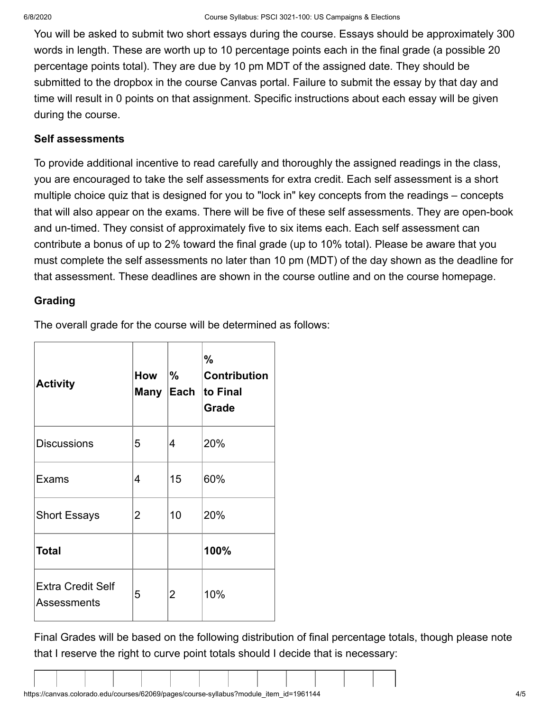You will be asked to submit two short essays during the course. Essays should be approximately 300 words in length. These are worth up to 10 percentage points each in the final grade (a possible 20 percentage points total). They are due by 10 pm MDT of the assigned date. They should be submitted to the dropbox in the course Canvas portal. Failure to submit the essay by that day and time will result in 0 points on that assignment. Specific instructions about each essay will be given during the course.

#### **Self assessments**

To provide additional incentive to read carefully and thoroughly the assigned readings in the class, you are encouraged to take the self assessments for extra credit. Each self assessment is a short multiple choice quiz that is designed for you to "lock in" key concepts from the readings – concepts that will also appear on the exams. There will be five of these self assessments. They are open-book and un-timed. They consist of approximately five to six items each. Each self assessment can contribute a bonus of up to 2% toward the final grade (up to 10% total). Please be aware that you must complete the self assessments no later than 10 pm (MDT) of the day shown as the deadline for that assessment. These deadlines are shown in the course outline and on the course homepage.

#### **Grading**

The overall grade for the course will be determined as follows:

| <b>Activity</b>                         | How | $\frac{9}{6}$<br>Many Each | %<br><b>Contribution</b><br>to Final<br>Grade |  |  |
|-----------------------------------------|-----|----------------------------|-----------------------------------------------|--|--|
| <b>Discussions</b>                      | 5   | 4                          | 20%                                           |  |  |
| <b>Exams</b>                            | 4   | 15                         | 60%                                           |  |  |
| <b>Short Essays</b>                     | 2   | 10                         | 20%                                           |  |  |
| <b>Total</b>                            |     |                            | 100%                                          |  |  |
| <b>Extra Credit Self</b><br>Assessments | 5   | $\overline{2}$             | 10%                                           |  |  |

Final Grades will be based on the following distribution of final percentage totals, though please note that I reserve the right to curve point totals should I decide that is necessary: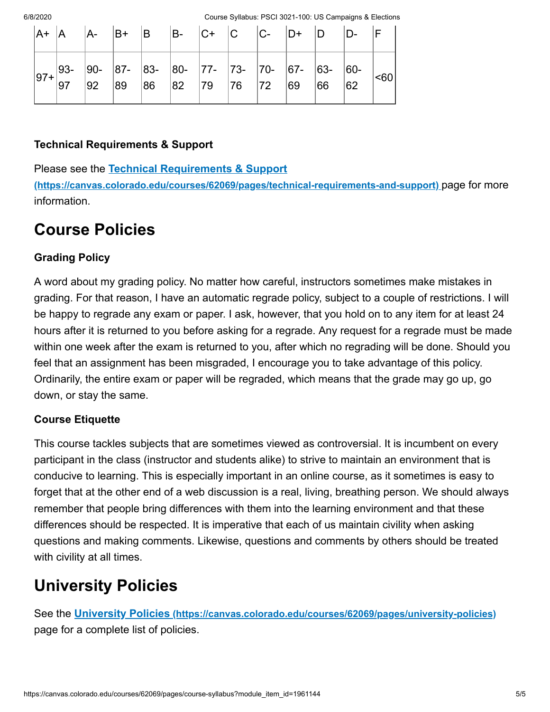6/8/2020 Course Syllabus: PSCI 3021-100: US Campaigns & Elections

|           |        |  | $ A+ A $ $ A- B+ B $ $ B- C+ C $ $ C- D+ D $ |  |  | $ D-$                                                                                    |  |
|-----------|--------|--|----------------------------------------------|--|--|------------------------------------------------------------------------------------------|--|
| $ 97+ 50$ | $ 93-$ |  |                                              |  |  | $\cdot$ 90- 87- 83- 80- 77- 73- 70- 67- 63- 60- <60<br>92 89 86 82 79 76 72 69 66 62 <60 |  |

#### **Technical Requirements & Support**

Please see the **Technical Requirements & Support**

**[\(https://canvas.colorado.edu/courses/62069/pages/technical-requirements-and-support\)](https://canvas.colorado.edu/courses/62069/pages/technical-requirements-and-support)** page for more information.

### **Course Policies**

#### **Grading Policy**

A word about my grading policy. No matter how careful, instructors sometimes make mistakes in grading. For that reason, I have an automatic regrade policy, subject to a couple of restrictions. I will be happy to regrade any exam or paper. I ask, however, that you hold on to any item for at least 24 hours after it is returned to you before asking for a regrade. Any request for a regrade must be made within one week after the exam is returned to you, after which no regrading will be done. Should you feel that an assignment has been misgraded, I encourage you to take advantage of this policy. Ordinarily, the entire exam or paper will be regraded, which means that the grade may go up, go down, or stay the same.

#### **Course Etiquette**

This course tackles subjects that are sometimes viewed as controversial. It is incumbent on every participant in the class (instructor and students alike) to strive to maintain an environment that is conducive to learning. This is especially important in an online course, as it sometimes is easy to forget that at the other end of a web discussion is a real, living, breathing person. We should always remember that people bring differences with them into the learning environment and that these differences should be respected. It is imperative that each of us maintain civility when asking questions and making comments. Likewise, questions and comments by others should be treated with civility at all times.

### **University Policies**

See the **University Policies [\(https://canvas.colorado.edu/courses/62069/pages/university-policies\)](https://canvas.colorado.edu/courses/62069/pages/university-policies)** page for a complete list of policies.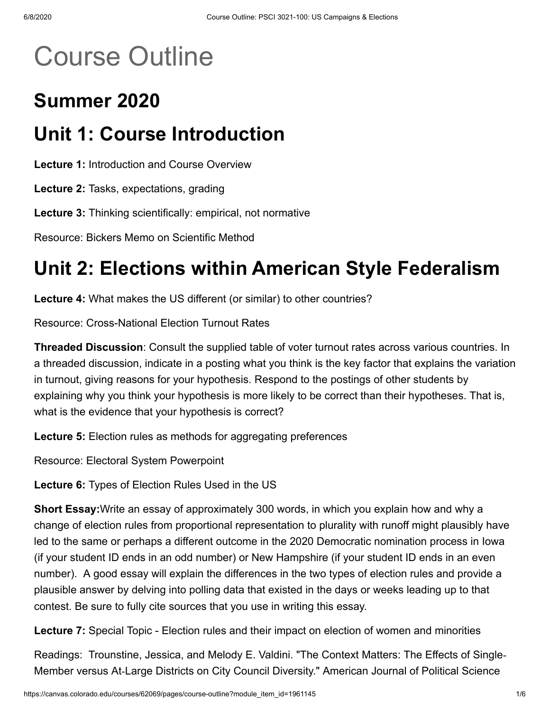# Course Outline

## **Summer 2020**

## **Unit 1: Course Introduction**

**Lecture 1:** Introduction and Course Overview

**Lecture 2:** Tasks, expectations, grading

**Lecture 3:** Thinking scientifically: empirical, not normative

Resource: Bickers Memo on Scientific Method

## **Unit 2: Elections within American Style Federalism**

**Lecture 4:** What makes the US different (or similar) to other countries?

Resource: Cross-National Election Turnout Rates

**Threaded Discussion**: Consult the supplied table of voter turnout rates across various countries. In a threaded discussion, indicate in a posting what you think is the key factor that explains the variation in turnout, giving reasons for your hypothesis. Respond to the postings of other students by explaining why you think your hypothesis is more likely to be correct than their hypotheses. That is, what is the evidence that your hypothesis is correct?

**Lecture 5:** Election rules as methods for aggregating preferences

Resource: Electoral System Powerpoint

**Lecture 6:** Types of Election Rules Used in the US

**Short Essay:**Write an essay of approximately 300 words, in which you explain how and why a change of election rules from proportional representation to plurality with runoff might plausibly have led to the same or perhaps a different outcome in the 2020 Democratic nomination process in Iowa (if your student ID ends in an odd number) or New Hampshire (if your student ID ends in an even number). A good essay will explain the differences in the two types of election rules and provide a plausible answer by delving into polling data that existed in the days or weeks leading up to that contest. Be sure to fully cite sources that you use in writing this essay.

**Lecture 7:** Special Topic - Election rules and their impact on election of women and minorities

Readings: Trounstine, Jessica, and Melody E. Valdini. "The Context Matters: The Effects of Single‐ Member versus At‐Large Districts on City Council Diversity." American Journal of Political Science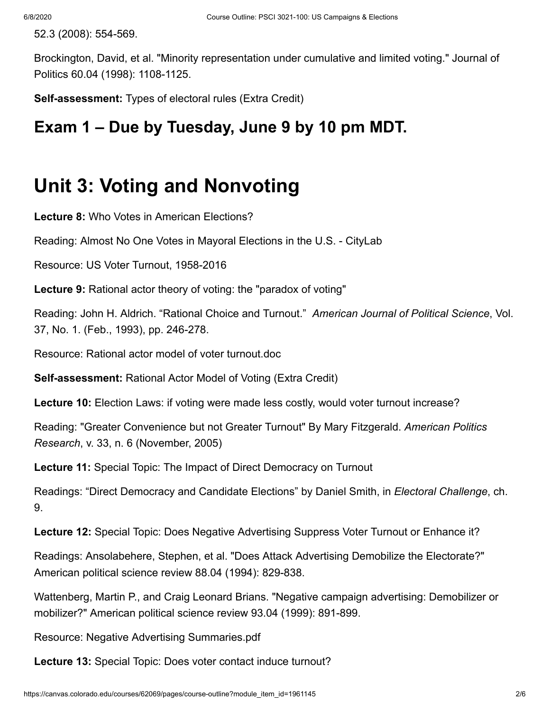52.3 (2008): 554-569.

Brockington, David, et al. "Minority representation under cumulative and limited voting." Journal of Politics 60.04 (1998): 1108-1125.

**Self-assessment:** Types of electoral rules (Extra Credit)

### **Exam 1 – Due by Tuesday, June 9 by 10 pm MDT.**

## **Unit 3: Voting and Nonvoting**

**Lecture 8:** Who Votes in American Elections?

Reading: Almost No One Votes in Mayoral Elections in the U.S. - CityLab

Resource: US Voter Turnout, 1958-2016

**Lecture 9:** Rational actor theory of voting: the "paradox of voting"

Reading: John H. Aldrich. "Rational Choice and Turnout." *American Journal of Political Science*, Vol. 37, No. 1. (Feb., 1993), pp. 246-278.

Resource: Rational actor model of voter turnout.doc

**Self-assessment:** Rational Actor Model of Voting (Extra Credit)

**Lecture 10:** Election Laws: if voting were made less costly, would voter turnout increase?

Reading: "Greater Convenience but not Greater Turnout" By Mary Fitzgerald. *American Politics Research*, v. 33, n. 6 (November, 2005)

**Lecture 11:** Special Topic: The Impact of Direct Democracy on Turnout

Readings: "Direct Democracy and Candidate Elections" by Daniel Smith, in *Electoral Challenge*, ch. 9.

**Lecture 12:** Special Topic: Does Negative Advertising Suppress Voter Turnout or Enhance it?

Readings: Ansolabehere, Stephen, et al. "Does Attack Advertising Demobilize the Electorate?" American political science review 88.04 (1994): 829-838.

Wattenberg, Martin P., and Craig Leonard Brians. "Negative campaign advertising: Demobilizer or mobilizer?" American political science review 93.04 (1999): 891-899.

Resource: Negative Advertising Summaries.pdf

**Lecture 13:** Special Topic: Does voter contact induce turnout?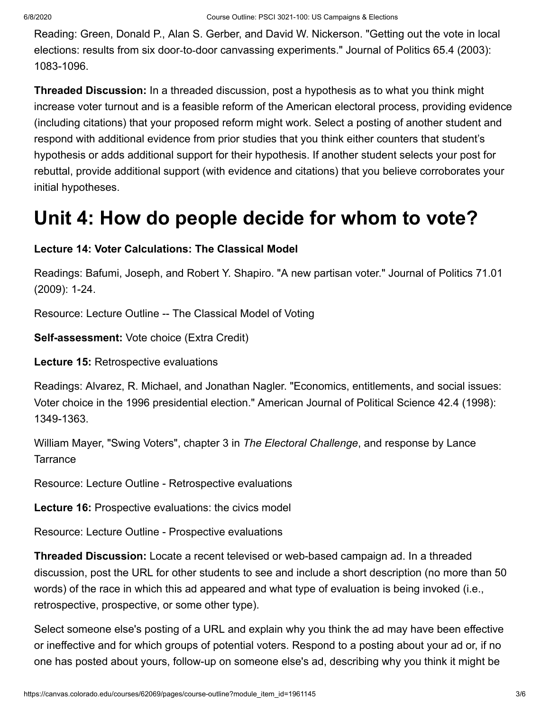Reading: Green, Donald P., Alan S. Gerber, and David W. Nickerson. "Getting out the vote in local elections: results from six door-to-door canvassing experiments." Journal of Politics 65.4 (2003): 1083-1096.

**Threaded Discussion:** In a threaded discussion, post a hypothesis as to what you think might increase voter turnout and is a feasible reform of the American electoral process, providing evidence (including citations) that your proposed reform might work. Select a posting of another student and respond with additional evidence from prior studies that you think either counters that student's hypothesis or adds additional support for their hypothesis. If another student selects your post for rebuttal, provide additional support (with evidence and citations) that you believe corroborates your initial hypotheses.

## **Unit 4: How do people decide for whom to vote?**

#### **Lecture 14: Voter Calculations: The Classical Model**

Readings: Bafumi, Joseph, and Robert Y. Shapiro. "A new partisan voter." Journal of Politics 71.01 (2009): 1-24.

Resource: Lecture Outline -- The Classical Model of Voting

**Self-assessment:** Vote choice (Extra Credit)

**Lecture 15:** Retrospective evaluations

Readings: Alvarez, R. Michael, and Jonathan Nagler. "Economics, entitlements, and social issues: Voter choice in the 1996 presidential election." American Journal of Political Science 42.4 (1998): 1349-1363.

William Mayer, "Swing Voters", chapter 3 in *The Electoral Challenge*, and response by Lance **Tarrance** 

Resource: Lecture Outline - Retrospective evaluations

**Lecture 16:** Prospective evaluations: the civics model

Resource: Lecture Outline - Prospective evaluations

**Threaded Discussion:** Locate a recent televised or web-based campaign ad. In a threaded discussion, post the URL for other students to see and include a short description (no more than 50 words) of the race in which this ad appeared and what type of evaluation is being invoked (i.e., retrospective, prospective, or some other type).

Select someone else's posting of a URL and explain why you think the ad may have been effective or ineffective and for which groups of potential voters. Respond to a posting about your ad or, if no one has posted about yours, follow-up on someone else's ad, describing why you think it might be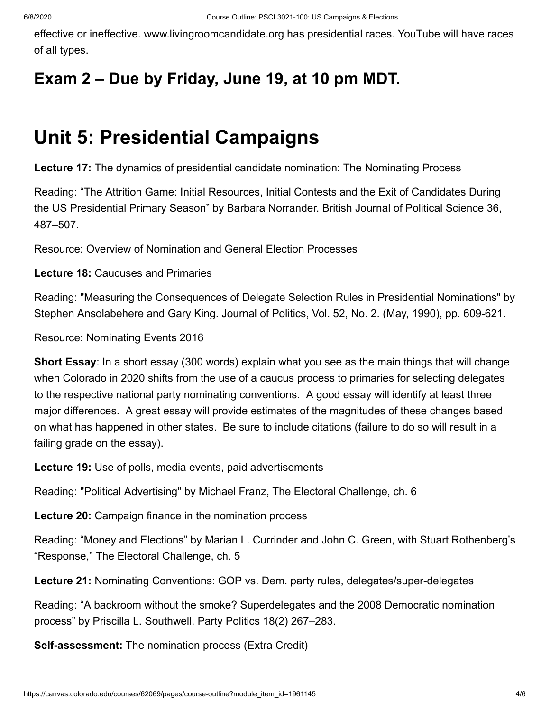effective or ineffective. www.livingroomcandidate.org has presidential races. YouTube will have races of all types.

## **Exam 2 – Due by Friday, June 19, at 10 pm MDT.**

## **Unit 5: Presidential Campaigns**

**Lecture 17:** The dynamics of presidential candidate nomination: The Nominating Process

Reading: "The Attrition Game: Initial Resources, Initial Contests and the Exit of Candidates During the US Presidential Primary Season" by Barbara Norrander. British Journal of Political Science 36, 487–507.

Resource: Overview of Nomination and General Election Processes

**Lecture 18:** Caucuses and Primaries

Reading: "Measuring the Consequences of Delegate Selection Rules in Presidential Nominations" by Stephen Ansolabehere and Gary King. Journal of Politics, Vol. 52, No. 2. (May, 1990), pp. 609-621.

Resource: Nominating Events 2016

**Short Essay**: In a short essay (300 words) explain what you see as the main things that will change when Colorado in 2020 shifts from the use of a caucus process to primaries for selecting delegates to the respective national party nominating conventions. A good essay will identify at least three major differences. A great essay will provide estimates of the magnitudes of these changes based on what has happened in other states. Be sure to include citations (failure to do so will result in a failing grade on the essay).

**Lecture 19:** Use of polls, media events, paid advertisements

Reading: "Political Advertising" by Michael Franz, The Electoral Challenge, ch. 6

**Lecture 20:** Campaign finance in the nomination process

Reading: "Money and Elections" by Marian L. Currinder and John C. Green, with Stuart Rothenberg's "Response," The Electoral Challenge, ch. 5

**Lecture 21:** Nominating Conventions: GOP vs. Dem. party rules, delegates/super-delegates

Reading: "A backroom without the smoke? Superdelegates and the 2008 Democratic nomination process" by Priscilla L. Southwell. Party Politics 18(2) 267–283.

**Self-assessment:** The nomination process (Extra Credit)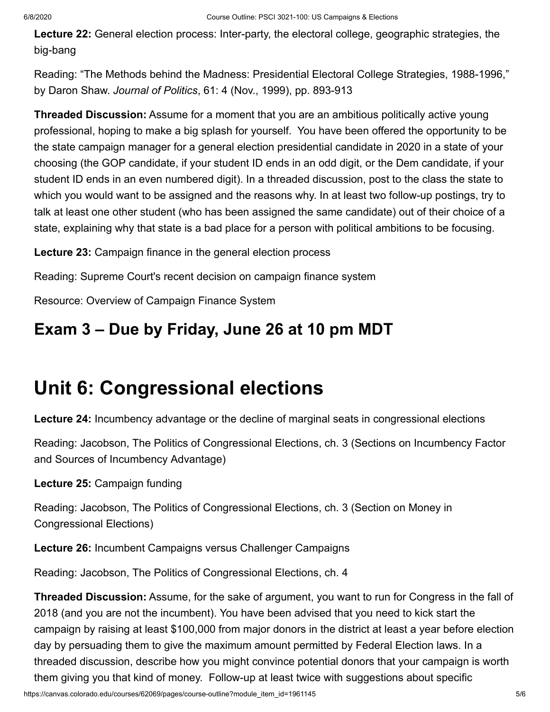**Lecture 22:** General election process: Inter-party, the electoral college, geographic strategies, the big-bang

Reading: "The Methods behind the Madness: Presidential Electoral College Strategies, 1988-1996," by Daron Shaw. *Journal of Politics*, 61: 4 (Nov., 1999), pp. 893-913

**Threaded Discussion:** Assume for a moment that you are an ambitious politically active young professional, hoping to make a big splash for yourself. You have been offered the opportunity to be the state campaign manager for a general election presidential candidate in 2020 in a state of your choosing (the GOP candidate, if your student ID ends in an odd digit, or the Dem candidate, if your student ID ends in an even numbered digit). In a threaded discussion, post to the class the state to which you would want to be assigned and the reasons why. In at least two follow-up postings, try to talk at least one other student (who has been assigned the same candidate) out of their choice of a state, explaining why that state is a bad place for a person with political ambitions to be focusing.

**Lecture 23:** Campaign finance in the general election process

Reading: Supreme Court's recent decision on campaign finance system

Resource: Overview of Campaign Finance System

## **Exam 3 – Due by Friday, June 26 at 10 pm MDT**

## **Unit 6: Congressional elections**

**Lecture 24:** Incumbency advantage or the decline of marginal seats in congressional elections

Reading: Jacobson, The Politics of Congressional Elections, ch. 3 (Sections on Incumbency Factor and Sources of Incumbency Advantage)

**Lecture 25:** Campaign funding

Reading: Jacobson, The Politics of Congressional Elections, ch. 3 (Section on Money in Congressional Elections)

**Lecture 26:** Incumbent Campaigns versus Challenger Campaigns

Reading: Jacobson, The Politics of Congressional Elections, ch. 4

**Threaded Discussion:** Assume, for the sake of argument, you want to run for Congress in the fall of 2018 (and you are not the incumbent). You have been advised that you need to kick start the campaign by raising at least \$100,000 from major donors in the district at least a year before election day by persuading them to give the maximum amount permitted by Federal Election laws. In a threaded discussion, describe how you might convince potential donors that your campaign is worth them giving you that kind of money. Follow-up at least twice with suggestions about specific